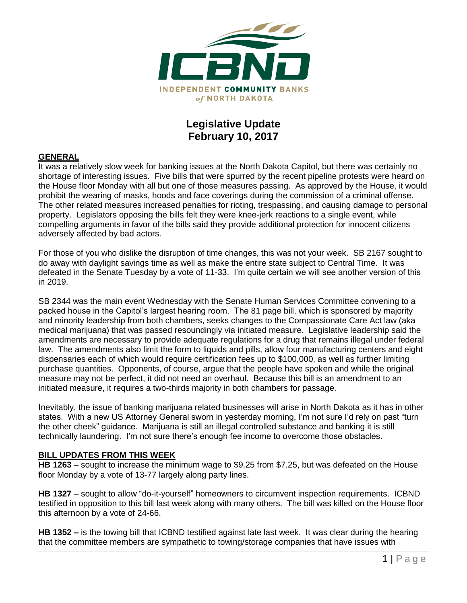

## **Legislative Update February 10, 2017**

#### **GENERAL**

It was a relatively slow week for banking issues at the North Dakota Capitol, but there was certainly no shortage of interesting issues. Five bills that were spurred by the recent pipeline protests were heard on the House floor Monday with all but one of those measures passing. As approved by the House, it would prohibit the wearing of masks, hoods and face coverings during the commission of a criminal offense. The other related measures increased penalties for rioting, trespassing, and causing damage to personal property. Legislators opposing the bills felt they were knee-jerk reactions to a single event, while compelling arguments in favor of the bills said they provide additional protection for innocent citizens adversely affected by bad actors.

For those of you who dislike the disruption of time changes, this was not your week. SB 2167 sought to do away with daylight savings time as well as make the entire state subject to Central Time. It was defeated in the Senate Tuesday by a vote of 11-33. I'm quite certain we will see another version of this in 2019.

SB 2344 was the main event Wednesday with the Senate Human Services Committee convening to a packed house in the Capitol's largest hearing room. The 81 page bill, which is sponsored by majority and minority leadership from both chambers, seeks changes to the Compassionate Care Act law (aka medical marijuana) that was passed resoundingly via initiated measure. Legislative leadership said the amendments are necessary to provide adequate regulations for a drug that remains illegal under federal law. The amendments also limit the form to liquids and pills, allow four manufacturing centers and eight dispensaries each of which would require certification fees up to \$100,000, as well as further limiting purchase quantities. Opponents, of course, argue that the people have spoken and while the original measure may not be perfect, it did not need an overhaul. Because this bill is an amendment to an initiated measure, it requires a two-thirds majority in both chambers for passage.

Inevitably, the issue of banking marijuana related businesses will arise in North Dakota as it has in other states. With a new US Attorney General sworn in yesterday morning, I'm not sure I'd rely on past "turn the other cheek" guidance. Marijuana is still an illegal controlled substance and banking it is still technically laundering. I'm not sure there's enough fee income to overcome those obstacles.

#### **BILL UPDATES FROM THIS WEEK**

**HB 1263** – sought to increase the minimum wage to \$9.25 from \$7.25, but was defeated on the House floor Monday by a vote of 13-77 largely along party lines.

**HB 1327** – sought to allow "do-it-yourself" homeowners to circumvent inspection requirements. ICBND testified in opposition to this bill last week along with many others. The bill was killed on the House floor this afternoon by a vote of 24-66.

**HB 1352 –** is the towing bill that ICBND testified against late last week. It was clear during the hearing that the committee members are sympathetic to towing/storage companies that have issues with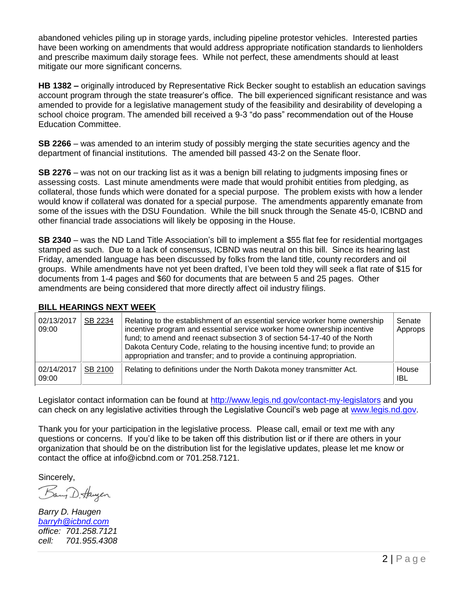abandoned vehicles piling up in storage yards, including pipeline protestor vehicles. Interested parties have been working on amendments that would address appropriate notification standards to lienholders and prescribe maximum daily storage fees. While not perfect, these amendments should at least mitigate our more significant concerns.

**HB 1382 –** originally introduced by Representative Rick Becker sought to establish an education savings account program through the state treasurer's office. The bill experienced significant resistance and was amended to provide for a legislative management study of the feasibility and desirability of developing a school choice program. The amended bill received a 9-3 "do pass" recommendation out of the House Education Committee.

**SB 2266** – was amended to an interim study of possibly merging the state securities agency and the department of financial institutions. The amended bill passed 43-2 on the Senate floor.

**SB 2276** – was not on our tracking list as it was a benign bill relating to judgments imposing fines or assessing costs. Last minute amendments were made that would prohibit entities from pledging, as collateral, those funds which were donated for a special purpose. The problem exists with how a lender would know if collateral was donated for a special purpose. The amendments apparently emanate from some of the issues with the DSU Foundation. While the bill snuck through the Senate 45-0, ICBND and other financial trade associations will likely be opposing in the House.

**SB 2340** – was the ND Land Title Association's bill to implement a \$55 flat fee for residential mortgages stamped as such. Due to a lack of consensus, ICBND was neutral on this bill. Since its hearing last Friday, amended language has been discussed by folks from the land title, county recorders and oil groups. While amendments have not yet been drafted, I've been told they will seek a flat rate of \$15 for documents from 1-4 pages and \$60 for documents that are between 5 and 25 pages. Other amendments are being considered that more directly affect oil industry filings.

| 02/13/2017<br>09:00 | SB 2234 | Relating to the establishment of an essential service worker home ownership<br>incentive program and essential service worker home ownership incentive<br>fund; to amend and reenact subsection 3 of section 54-17-40 of the North<br>Dakota Century Code, relating to the housing incentive fund; to provide an<br>appropriation and transfer; and to provide a continuing appropriation. | Senate<br>Approps |
|---------------------|---------|--------------------------------------------------------------------------------------------------------------------------------------------------------------------------------------------------------------------------------------------------------------------------------------------------------------------------------------------------------------------------------------------|-------------------|
| 02/14/2017<br>09:00 | SB 2100 | Relating to definitions under the North Dakota money transmitter Act.                                                                                                                                                                                                                                                                                                                      | House<br>IBL      |

### **BILL HEARINGS NEXT WEEK**

Legislator contact information can be found at<http://www.legis.nd.gov/contact-my-legislators> and you can check on any legislative activities through the Legislative Council's web page at [www.legis.nd.gov.](http://www.legis.nd.gov/)

Thank you for your participation in the legislative process. Please call, email or text me with any questions or concerns. If you'd like to be taken off this distribution list or if there are others in your organization that should be on the distribution list for the legislative updates, please let me know or contact the office at [info@icbnd.com](mailto:info@icbnd.com) or 701.258.7121.

Sincerely,

Bany D. Haugen

*Barry D. Haugen [barryh@icbnd.com](mailto:barryh@icbnd.com) office: 701.258.7121 cell: 701.955.4308*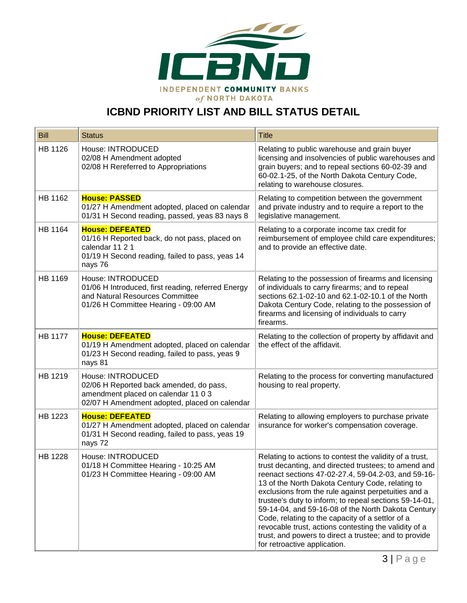

# **ICBND PRIORITY LIST AND BILL STATUS DETAIL**

| <b>Bill</b>    | <b>Status</b>                                                                                                                                            | <b>Title</b>                                                                                                                                                                                                                                                                                                                                                                                                                                                                                                                                                                                            |
|----------------|----------------------------------------------------------------------------------------------------------------------------------------------------------|---------------------------------------------------------------------------------------------------------------------------------------------------------------------------------------------------------------------------------------------------------------------------------------------------------------------------------------------------------------------------------------------------------------------------------------------------------------------------------------------------------------------------------------------------------------------------------------------------------|
| HB 1126        | House: INTRODUCED<br>02/08 H Amendment adopted<br>02/08 H Rereferred to Appropriations                                                                   | Relating to public warehouse and grain buyer<br>licensing and insolvencies of public warehouses and<br>grain buyers; and to repeal sections 60-02-39 and<br>60-02.1-25, of the North Dakota Century Code,<br>relating to warehouse closures.                                                                                                                                                                                                                                                                                                                                                            |
| HB 1162        | <b>House: PASSED</b><br>01/27 H Amendment adopted, placed on calendar<br>01/31 H Second reading, passed, yeas 83 nays 8                                  | Relating to competition between the government<br>and private industry and to require a report to the<br>legislative management.                                                                                                                                                                                                                                                                                                                                                                                                                                                                        |
| HB 1164        | <b>House: DEFEATED</b><br>01/16 H Reported back, do not pass, placed on<br>calendar 11 2 1<br>01/19 H Second reading, failed to pass, yeas 14<br>nays 76 | Relating to a corporate income tax credit for<br>reimbursement of employee child care expenditures;<br>and to provide an effective date.                                                                                                                                                                                                                                                                                                                                                                                                                                                                |
| HB 1169        | House: INTRODUCED<br>01/06 H Introduced, first reading, referred Energy<br>and Natural Resources Committee<br>01/26 H Committee Hearing - 09:00 AM       | Relating to the possession of firearms and licensing<br>of individuals to carry firearms; and to repeal<br>sections 62.1-02-10 and 62.1-02-10.1 of the North<br>Dakota Century Code, relating to the possession of<br>firearms and licensing of individuals to carry<br>firearms.                                                                                                                                                                                                                                                                                                                       |
| <b>HB 1177</b> | <b>House: DEFEATED</b><br>01/19 H Amendment adopted, placed on calendar<br>01/23 H Second reading, failed to pass, yeas 9<br>nays 81                     | Relating to the collection of property by affidavit and<br>the effect of the affidavit.                                                                                                                                                                                                                                                                                                                                                                                                                                                                                                                 |
| HB 1219        | House: INTRODUCED<br>02/06 H Reported back amended, do pass,<br>amendment placed on calendar 11 0 3<br>02/07 H Amendment adopted, placed on calendar     | Relating to the process for converting manufactured<br>housing to real property.                                                                                                                                                                                                                                                                                                                                                                                                                                                                                                                        |
| HB 1223        | <b>House: DEFEATED</b><br>01/27 H Amendment adopted, placed on calendar<br>01/31 H Second reading, failed to pass, yeas 19<br>nays 72                    | Relating to allowing employers to purchase private<br>insurance for worker's compensation coverage.                                                                                                                                                                                                                                                                                                                                                                                                                                                                                                     |
| <b>HB 1228</b> | House: INTRODUCED<br>01/18 H Committee Hearing - 10:25 AM<br>01/23 H Committee Hearing - 09:00 AM                                                        | Relating to actions to contest the validity of a trust,<br>trust decanting, and directed trustees; to amend and<br>reenact sections 47-02-27.4, 59-04.2-03, and 59-16-<br>13 of the North Dakota Century Code, relating to<br>exclusions from the rule against perpetuities and a<br>trustee's duty to inform; to repeal sections 59-14-01,<br>59-14-04, and 59-16-08 of the North Dakota Century<br>Code, relating to the capacity of a settlor of a<br>revocable trust, actions contesting the validity of a<br>trust, and powers to direct a trustee; and to provide<br>for retroactive application. |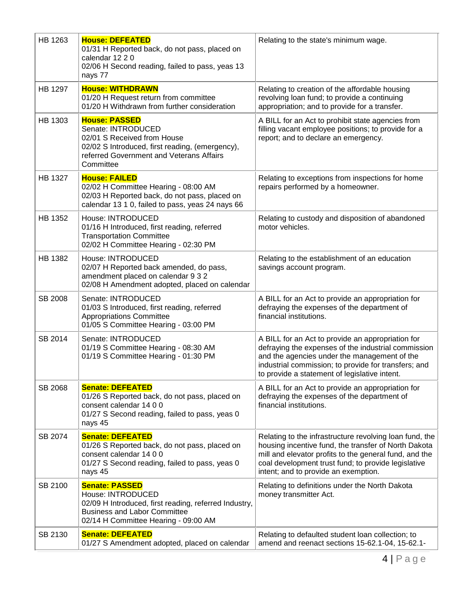| HB 1263        | <b>House: DEFEATED</b><br>01/31 H Reported back, do not pass, placed on<br>calendar 12 2 0<br>02/06 H Second reading, failed to pass, yeas 13<br>nays 77                              | Relating to the state's minimum wage.                                                                                                                                                                                                                                    |
|----------------|---------------------------------------------------------------------------------------------------------------------------------------------------------------------------------------|--------------------------------------------------------------------------------------------------------------------------------------------------------------------------------------------------------------------------------------------------------------------------|
| <b>HB 1297</b> | <b>House: WITHDRAWN</b><br>01/20 H Request return from committee<br>01/20 H Withdrawn from further consideration                                                                      | Relating to creation of the affordable housing<br>revolving loan fund; to provide a continuing<br>appropriation; and to provide for a transfer.                                                                                                                          |
| HB 1303        | <b>House: PASSED</b><br>Senate: INTRODUCED<br>02/01 S Received from House<br>02/02 S Introduced, first reading, (emergency),<br>referred Government and Veterans Affairs<br>Committee | A BILL for an Act to prohibit state agencies from<br>filling vacant employee positions; to provide for a<br>report; and to declare an emergency.                                                                                                                         |
| HB 1327        | <b>House: FAILED</b><br>02/02 H Committee Hearing - 08:00 AM<br>02/03 H Reported back, do not pass, placed on<br>calendar 13 1 0, failed to pass, yeas 24 nays 66                     | Relating to exceptions from inspections for home<br>repairs performed by a homeowner.                                                                                                                                                                                    |
| HB 1352        | House: INTRODUCED<br>01/16 H Introduced, first reading, referred<br><b>Transportation Committee</b><br>02/02 H Committee Hearing - 02:30 PM                                           | Relating to custody and disposition of abandoned<br>motor vehicles.                                                                                                                                                                                                      |
| HB 1382        | House: INTRODUCED<br>02/07 H Reported back amended, do pass,<br>amendment placed on calendar 9 3 2<br>02/08 H Amendment adopted, placed on calendar                                   | Relating to the establishment of an education<br>savings account program.                                                                                                                                                                                                |
| SB 2008        | Senate: INTRODUCED<br>01/03 S Introduced, first reading, referred<br><b>Appropriations Committee</b><br>01/05 S Committee Hearing - 03:00 PM                                          | A BILL for an Act to provide an appropriation for<br>defraying the expenses of the department of<br>financial institutions.                                                                                                                                              |
| SB 2014        | Senate: INTRODUCED<br>01/19 S Committee Hearing - 08:30 AM<br>01/19 S Committee Hearing - 01:30 PM                                                                                    | A BILL for an Act to provide an appropriation for<br>defraying the expenses of the industrial commission<br>and the agencies under the management of the<br>industrial commission; to provide for transfers; and<br>to provide a statement of legislative intent.        |
| SB 2068        | <b>Senate: DEFEATED</b><br>01/26 S Reported back, do not pass, placed on<br>consent calendar 14 0 0<br>01/27 S Second reading, failed to pass, yeas 0<br>nays 45                      | A BILL for an Act to provide an appropriation for<br>defraying the expenses of the department of<br>financial institutions.                                                                                                                                              |
| SB 2074        | <b>Senate: DEFEATED</b><br>01/26 S Reported back, do not pass, placed on<br>consent calendar 14 0 0<br>01/27 S Second reading, failed to pass, yeas 0<br>nays 45                      | Relating to the infrastructure revolving loan fund, the<br>housing incentive fund, the transfer of North Dakota<br>mill and elevator profits to the general fund, and the<br>coal development trust fund; to provide legislative<br>intent; and to provide an exemption. |
| SB 2100        | <b>Senate: PASSED</b><br>House: INTRODUCED<br>02/09 H Introduced, first reading, referred Industry,<br><b>Business and Labor Committee</b><br>02/14 H Committee Hearing - 09:00 AM    | Relating to definitions under the North Dakota<br>money transmitter Act.                                                                                                                                                                                                 |
| SB 2130        | <b>Senate: DEFEATED</b><br>01/27 S Amendment adopted, placed on calendar                                                                                                              | Relating to defaulted student loan collection; to<br>amend and reenact sections 15-62.1-04, 15-62.1-                                                                                                                                                                     |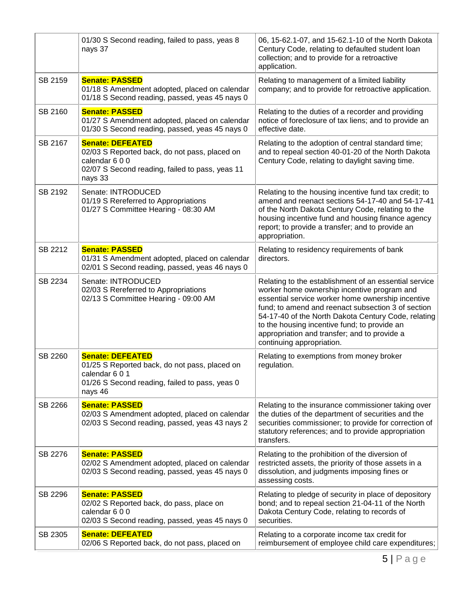|         | 01/30 S Second reading, failed to pass, yeas 8<br>nays 37                                                                                               | 06, 15-62.1-07, and 15-62.1-10 of the North Dakota<br>Century Code, relating to defaulted student loan<br>collection; and to provide for a retroactive<br>application.                                                                                                                                                                                                                              |
|---------|---------------------------------------------------------------------------------------------------------------------------------------------------------|-----------------------------------------------------------------------------------------------------------------------------------------------------------------------------------------------------------------------------------------------------------------------------------------------------------------------------------------------------------------------------------------------------|
| SB 2159 | <b>Senate: PASSED</b><br>01/18 S Amendment adopted, placed on calendar<br>01/18 S Second reading, passed, yeas 45 nays 0                                | Relating to management of a limited liability<br>company; and to provide for retroactive application.                                                                                                                                                                                                                                                                                               |
| SB 2160 | <b>Senate: PASSED</b><br>01/27 S Amendment adopted, placed on calendar<br>01/30 S Second reading, passed, yeas 45 nays 0                                | Relating to the duties of a recorder and providing<br>notice of foreclosure of tax liens; and to provide an<br>effective date.                                                                                                                                                                                                                                                                      |
| SB 2167 | <b>Senate: DEFEATED</b><br>02/03 S Reported back, do not pass, placed on<br>calendar 600<br>02/07 S Second reading, failed to pass, yeas 11<br>nays 33  | Relating to the adoption of central standard time;<br>and to repeal section 40-01-20 of the North Dakota<br>Century Code, relating to daylight saving time.                                                                                                                                                                                                                                         |
| SB 2192 | Senate: INTRODUCED<br>01/19 S Rereferred to Appropriations<br>01/27 S Committee Hearing - 08:30 AM                                                      | Relating to the housing incentive fund tax credit; to<br>amend and reenact sections 54-17-40 and 54-17-41<br>of the North Dakota Century Code, relating to the<br>housing incentive fund and housing finance agency<br>report; to provide a transfer; and to provide an<br>appropriation.                                                                                                           |
| SB 2212 | <b>Senate: PASSED</b><br>01/31 S Amendment adopted, placed on calendar<br>02/01 S Second reading, passed, yeas 46 nays 0                                | Relating to residency requirements of bank<br>directors.                                                                                                                                                                                                                                                                                                                                            |
| SB 2234 | Senate: INTRODUCED<br>02/03 S Rereferred to Appropriations<br>02/13 S Committee Hearing - 09:00 AM                                                      | Relating to the establishment of an essential service<br>worker home ownership incentive program and<br>essential service worker home ownership incentive<br>fund; to amend and reenact subsection 3 of section<br>54-17-40 of the North Dakota Century Code, relating<br>to the housing incentive fund; to provide an<br>appropriation and transfer; and to provide a<br>continuing appropriation. |
| SB 2260 | <b>Senate: DEFEATED</b><br>01/25 S Reported back, do not pass, placed on<br>calendar 6 0 1<br>01/26 S Second reading, failed to pass, yeas 0<br>nays 46 | Relating to exemptions from money broker<br>regulation.                                                                                                                                                                                                                                                                                                                                             |
| SB 2266 | <b>Senate: PASSED</b><br>02/03 S Amendment adopted, placed on calendar<br>02/03 S Second reading, passed, yeas 43 nays 2                                | Relating to the insurance commissioner taking over<br>the duties of the department of securities and the<br>securities commissioner; to provide for correction of<br>statutory references; and to provide appropriation<br>transfers.                                                                                                                                                               |
| SB 2276 | <b>Senate: PASSED</b><br>02/02 S Amendment adopted, placed on calendar<br>02/03 S Second reading, passed, yeas 45 nays 0                                | Relating to the prohibition of the diversion of<br>restricted assets, the priority of those assets in a<br>dissolution, and judgments imposing fines or<br>assessing costs.                                                                                                                                                                                                                         |
| SB 2296 | <b>Senate: PASSED</b><br>02/02 S Reported back, do pass, place on<br>calendar 600<br>02/03 S Second reading, passed, yeas 45 nays 0                     | Relating to pledge of security in place of depository<br>bond; and to repeal section 21-04-11 of the North<br>Dakota Century Code, relating to records of<br>securities.                                                                                                                                                                                                                            |
| SB 2305 | <b>Senate: DEFEATED</b><br>02/06 S Reported back, do not pass, placed on                                                                                | Relating to a corporate income tax credit for<br>reimbursement of employee child care expenditures;                                                                                                                                                                                                                                                                                                 |